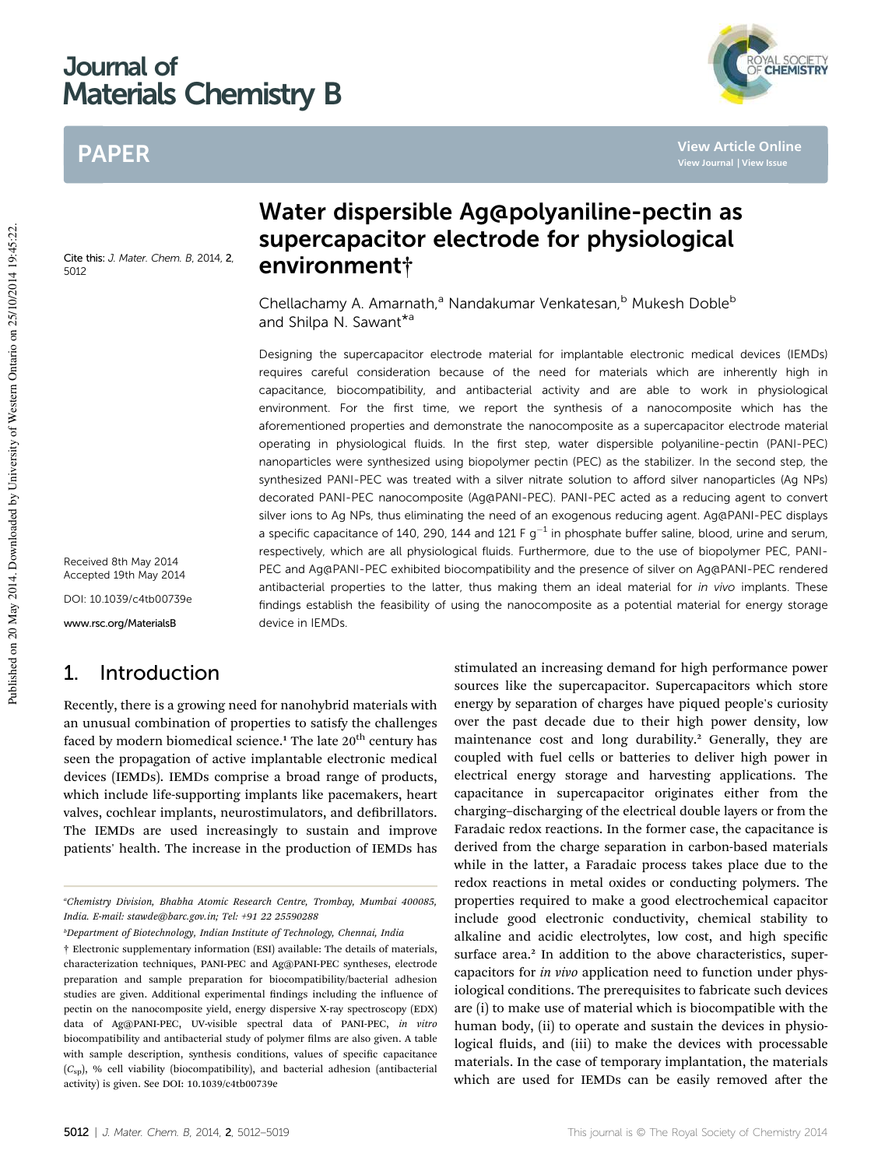# Journal of Materials Chemistry B

# PAPER

Cite this: J. Mater. Chem. B, 2014, 2, 5012

Received 8th May 2014 Accepted 19th May 2014 DOI: 10.1039/c4tb00739e

www.rsc.org/MaterialsB

### 1. Introduction

Recently, there is a growing need for nanohybrid materials with an unusual combination of properties to satisfy the challenges faced by modern biomedical science.<sup>1</sup> The late  $20<sup>th</sup>$  century has seen the propagation of active implantable electronic medical devices (IEMDs). IEMDs comprise a broad range of products, which include life-supporting implants like pacemakers, heart valves, cochlear implants, neurostimulators, and defibrillators. The IEMDs are used increasingly to sustain and improve patients' health. The increase in the production of IEMDs has

*<sup>b</sup>Department of Biotechnology, Indian Institute of Technology, Chennai, India*

# Water dispersible Ag@polyaniline-pectin as supercapacitor electrode for physiological environment†

Chellachamy A. Amarnath,<sup>a</sup> Nandakumar Venkatesan,<sup>b</sup> Mukesh Doble<sup>b</sup> and Shilpa N. Sawant<sup>\*a</sup>

Designing the supercapacitor electrode material for implantable electronic medical devices (IEMDs) requires careful consideration because of the need for materials which are inherently high in capacitance, biocompatibility, and antibacterial activity and are able to work in physiological environment. For the first time, we report the synthesis of a nanocomposite which has the aforementioned properties and demonstrate the nanocomposite as a supercapacitor electrode material operating in physiological fluids. In the first step, water dispersible polyaniline-pectin (PANI-PEC) nanoparticles were synthesized using biopolymer pectin (PEC) as the stabilizer. In the second step, the synthesized PANI-PEC was treated with a silver nitrate solution to afford silver nanoparticles (Ag NPs) decorated PANI-PEC nanocomposite (Ag@PANI-PEC). PANI-PEC acted as a reducing agent to convert silver ions to Ag NPs, thus eliminating the need of an exogenous reducing agent. Ag@PANI-PEC displays a specific capacitance of 140, 290, 144 and 121 F g<sup>-1</sup> in phosphate buffer saline, blood, urine and serum, respectively, which are all physiological fluids. Furthermore, due to the use of biopolymer PEC, PANI-PEC and Ag@PANI-PEC exhibited biocompatibility and the presence of silver on Ag@PANI-PEC rendered antibacterial properties to the latter, thus making them an ideal material for in vivo implants. These findings establish the feasibility of using the nanocomposite as a potential material for energy storage device in IEMDs.

> stimulated an increasing demand for high performance power sources like the supercapacitor. Supercapacitors which store energy by separation of charges have piqued people's curiosity over the past decade due to their high power density, low maintenance cost and long durability.<sup>2</sup> Generally, they are coupled with fuel cells or batteries to deliver high power in electrical energy storage and harvesting applications. The capacitance in supercapacitor originates either from the charging–discharging of the electrical double layers or from the Faradaic redox reactions. In the former case, the capacitance is derived from the charge separation in carbon-based materials while in the latter, a Faradaic process takes place due to the redox reactions in metal oxides or conducting polymers. The properties required to make a good electrochemical capacitor include good electronic conductivity, chemical stability to alkaline and acidic electrolytes, low cost, and high specific surface area.<sup>2</sup> In addition to the above characteristics, supercapacitors for *in vivo* application need to function under physiological conditions. The prerequisites to fabricate such devices are (i) to make use of material which is biocompatible with the human body, (ii) to operate and sustain the devices in physiological fluids, and (iii) to make the devices with processable materials. In the case of temporary implantation, the materials which are used for IEMDs can be easily removed after the



**View Article Online**

*<sup>a</sup>Chemistry Division, Bhabha Atomic Research Centre, Trombay, Mumbai 400085, India. E-mail: stawde@barc.gov.in; Tel: +91 22 25590288*

<sup>†</sup> Electronic supplementary information (ESI) available: The details of materials, characterization techniques, PANI-PEC and Ag@PANI-PEC syntheses, electrode preparation and sample preparation for biocompatibility/bacterial adhesion studies are given. Additional experimental findings including the influence of pectin on the nanocomposite yield, energy dispersive X-ray spectroscopy (EDX) data of Ag@PANI-PEC, UV-visible spectral data of PANI-PEC, *in vitro* biocompatibility and antibacterial study of polymer films are also given. A table with sample description, synthesis conditions, values of specific capacitance (*C*sp), % cell viability (biocompatibility), and bacterial adhesion (antibacterial activity) is given. See DOI: 10.1039/c4tb00739e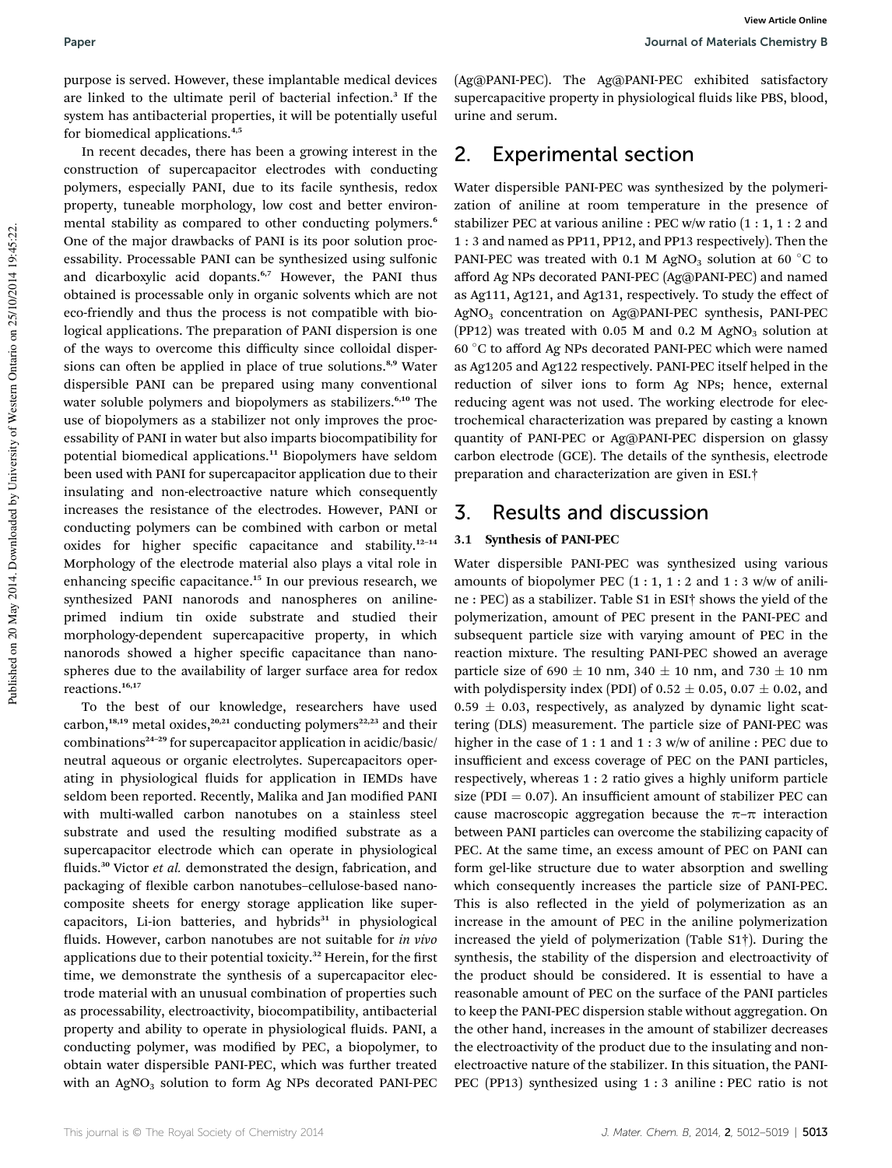purpose is served. However, these implantable medical devices are linked to the ultimate peril of bacterial infection.<sup>3</sup> If the system has antibacterial properties, it will be potentially useful for biomedical applications.4,5

In recent decades, there has been a growing interest in the construction of supercapacitor electrodes with conducting polymers, especially PANI, due to its facile synthesis, redox property, tuneable morphology, low cost and better environmental stability as compared to other conducting polymers.<sup>6</sup> One of the major drawbacks of PANI is its poor solution processability. Processable PANI can be synthesized using sulfonic and dicarboxylic acid dopants.<sup>6,7</sup> However, the PANI thus obtained is processable only in organic solvents which are not eco-friendly and thus the process is not compatible with biological applications. The preparation of PANI dispersion is one of the ways to overcome this difficulty since colloidal dispersions can often be applied in place of true solutions.<sup>8,9</sup> Water dispersible PANI can be prepared using many conventional water soluble polymers and biopolymers as stabilizers.<sup>6,10</sup> The use of biopolymers as a stabilizer not only improves the processability of PANI in water but also imparts biocompatibility for potential biomedical applications.<sup>11</sup> Biopolymers have seldom been used with PANI for supercapacitor application due to their insulating and non-electroactive nature which consequently increases the resistance of the electrodes. However, PANI or conducting polymers can be combined with carbon or metal oxides for higher specific capacitance and stability.<sup>12-14</sup> Morphology of the electrode material also plays a vital role in enhancing specific capacitance.<sup>15</sup> In our previous research, we synthesized PANI nanorods and nanospheres on anilineprimed indium tin oxide substrate and studied their morphology-dependent supercapacitive property, in which nanorods showed a higher specific capacitance than nanospheres due to the availability of larger surface area for redox reactions.16,17

To the best of our knowledge, researchers have used carbon,<sup>18,19</sup> metal oxides,<sup>20,21</sup> conducting polymers<sup>22,23</sup> and their combinations<sup>24</sup>–<sup>29</sup> for supercapacitor application in acidic/basic/ neutral aqueous or organic electrolytes. Supercapacitors operating in physiological fluids for application in IEMDs have seldom been reported. Recently, Malika and Jan modified PANI with multi-walled carbon nanotubes on a stainless steel substrate and used the resulting modified substrate as a supercapacitor electrode which can operate in physiological fluids.<sup>30</sup> Victor *et al.* demonstrated the design, fabrication, and packaging of flexible carbon nanotubes–cellulose-based nanocomposite sheets for energy storage application like supercapacitors, Li-ion batteries, and hybrids $31$  in physiological fluids. However, carbon nanotubes are not suitable for *in vivo* applications due to their potential toxicity.<sup>32</sup> Herein, for the first time, we demonstrate the synthesis of a supercapacitor electrode material with an unusual combination of properties such as processability, electroactivity, biocompatibility, antibacterial property and ability to operate in physiological fluids. PANI, a conducting polymer, was modified by PEC, a biopolymer, to obtain water dispersible PANI-PEC, which was further treated with an  $AgNO<sub>3</sub>$  solution to form Ag NPs decorated PANI-PEC

(Ag@PANI-PEC). The Ag@PANI-PEC exhibited satisfactory supercapacitive property in physiological fluids like PBS, blood, urine and serum.

## 2. Experimental section

Water dispersible PANI-PEC was synthesized by the polymerization of aniline at room temperature in the presence of stabilizer PEC at various aniline : PEC w/w ratio  $(1:1, 1:2$  and 1 : 3 and named as PP11, PP12, and PP13 respectively). Then the PANI-PEC was treated with 0.1 M AgNO<sub>3</sub> solution at 60  $^{\circ}$ C to afford Ag NPs decorated PANI-PEC (Ag@PANI-PEC) and named as Ag111, Ag121, and Ag131, respectively. To study the effect of AgNO<sup>3</sup> concentration on Ag@PANI-PEC synthesis, PANI-PEC (PP12) was treated with 0.05 M and 0.2 M AgNO<sub>3</sub> solution at 60 °C to afford Ag NPs decorated PANI-PEC which were named as Ag1205 and Ag122 respectively. PANI-PEC itself helped in the reduction of silver ions to form Ag NPs; hence, external reducing agent was not used. The working electrode for electrochemical characterization was prepared by casting a known quantity of PANI-PEC or Ag@PANI-PEC dispersion on glassy carbon electrode (GCE). The details of the synthesis, electrode preparation and characterization are given in ESI.†

### 3. Results and discussion

### 3.1 Synthesis of PANI-PEC

Water dispersible PANI-PEC was synthesized using various amounts of biopolymer PEC  $(1:1, 1:2$  and  $1:3$  w/w of aniline : PEC) as a stabilizer. Table S1 in ESI† shows the yield of the polymerization, amount of PEC present in the PANI-PEC and subsequent particle size with varying amount of PEC in the reaction mixture. The resulting PANI-PEC showed an average particle size of 690  $\pm$  10 nm, 340  $\pm$  10 nm, and 730  $\pm$  10 nm with polydispersity index (PDI) of 0.52  $\pm$  0.05, 0.07  $\pm$  0.02, and  $0.59 \pm 0.03$ , respectively, as analyzed by dynamic light scattering (DLS) measurement. The particle size of PANI-PEC was higher in the case of 1 : 1 and 1 : 3 w/w of aniline : PEC due to insufficient and excess coverage of PEC on the PANI particles, respectively, whereas 1 : 2 ratio gives a highly uniform particle size (PDI  $= 0.07$ ). An insufficient amount of stabilizer PEC can cause macroscopic aggregation because the  $\pi-\pi$  interaction between PANI particles can overcome the stabilizing capacity of PEC. At the same time, an excess amount of PEC on PANI can form gel-like structure due to water absorption and swelling which consequently increases the particle size of PANI-PEC. This is also reflected in the yield of polymerization as an increase in the amount of PEC in the aniline polymerization increased the yield of polymerization (Table S1†). During the synthesis, the stability of the dispersion and electroactivity of the product should be considered. It is essential to have a reasonable amount of PEC on the surface of the PANI particles to keep the PANI-PEC dispersion stable without aggregation. On the other hand, increases in the amount of stabilizer decreases the electroactivity of the product due to the insulating and nonelectroactive nature of the stabilizer. In this situation, the PANI-PEC (PP13) synthesized using 1 : 3 aniline : PEC ratio is not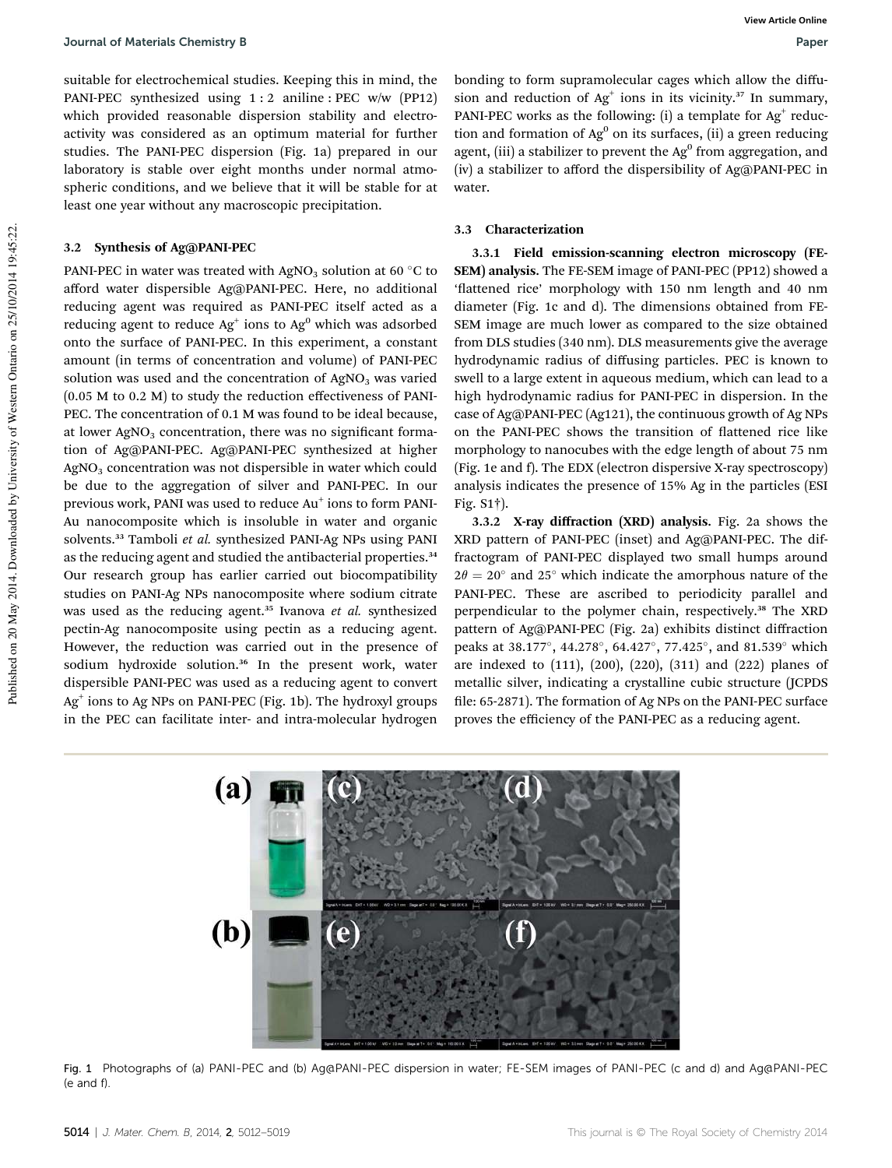suitable for electrochemical studies. Keeping this in mind, the PANI-PEC synthesized using 1 : 2 aniline : PEC w/w (PP12) which provided reasonable dispersion stability and electroactivity was considered as an optimum material for further studies. The PANI-PEC dispersion (Fig. 1a) prepared in our laboratory is stable over eight months under normal atmospheric conditions, and we believe that it will be stable for at least one year without any macroscopic precipitation.

#### 3.2 Synthesis of Ag@PANI-PEC

PANI-PEC in water was treated with AgNO<sub>3</sub> solution at 60  $\degree$ C to afford water dispersible Ag@PANI-PEC. Here, no additional reducing agent was required as PANI-PEC itself acted as a reducing agent to reduce Ag $^{\rm +}$  ions to Ag $^{\rm 0}$  which was adsorbed onto the surface of PANI-PEC. In this experiment, a constant amount (in terms of concentration and volume) of PANI-PEC solution was used and the concentration of  $AgNO<sub>3</sub>$  was varied (0.05 M to 0.2 M) to study the reduction effectiveness of PANI-PEC. The concentration of 0.1 M was found to be ideal because, at lower  $AgNO<sub>3</sub>$  concentration, there was no significant formation of Ag@PANI-PEC. Ag@PANI-PEC synthesized at higher AgNO<sub>3</sub> concentration was not dispersible in water which could be due to the aggregation of silver and PANI-PEC. In our previous work, PANI was used to reduce  $\text{Au}^+$  ions to form PANI-Au nanocomposite which is insoluble in water and organic solvents.<sup>33</sup> Tamboli et al. synthesized PANI-Ag NPs using PANI as the reducing agent and studied the antibacterial properties.<sup>34</sup> Our research group has earlier carried out biocompatibility studies on PANI-Ag NPs nanocomposite where sodium citrate was used as the reducing agent.<sup>35</sup> Ivanova et al. synthesized pectin-Ag nanocomposite using pectin as a reducing agent. However, the reduction was carried out in the presence of sodium hydroxide solution.<sup>36</sup> In the present work, water dispersible PANI-PEC was used as a reducing agent to convert Ag<sup>+</sup> ions to Ag NPs on PANI-PEC (Fig. 1b). The hydroxyl groups in the PEC can facilitate inter- and intra-molecular hydrogen

bonding to form supramolecular cages which allow the diffusion and reduction of  $Ag<sup>+</sup>$  ions in its vicinity.<sup>37</sup> In summary, PANI-PEC works as the following: (i) a template for  $Ag<sup>+</sup>$  reduction and formation of Ag<sup>0</sup> on its surfaces, (ii) a green reducing agent, (iii) a stabilizer to prevent the  $Ag^{0}$  from aggregation, and (iv) a stabilizer to afford the dispersibility of Ag@PANI-PEC in water.

#### 3.3 Characterization

3.3.1 Field emission-scanning electron microscopy (FE-SEM) analysis. The FE-SEM image of PANI-PEC (PP12) showed a 'flattened rice' morphology with 150 nm length and 40 nm diameter (Fig. 1c and d). The dimensions obtained from FE-SEM image are much lower as compared to the size obtained from DLS studies (340 nm). DLS measurements give the average hydrodynamic radius of diffusing particles. PEC is known to swell to a large extent in aqueous medium, which can lead to a high hydrodynamic radius for PANI-PEC in dispersion. In the case of Ag@PANI-PEC (Ag121), the continuous growth of Ag NPs on the PANI-PEC shows the transition of flattened rice like morphology to nanocubes with the edge length of about 75 nm (Fig. 1e and f). The EDX (electron dispersive X-ray spectroscopy) analysis indicates the presence of 15% Ag in the particles (ESI Fig. S1†).

3.3.2 X-ray diffraction (XRD) analysis. Fig. 2a shows the XRD pattern of PANI-PEC (inset) and Ag@PANI-PEC. The diffractogram of PANI-PEC displayed two small humps around  $2\theta = 20^{\circ}$  and  $25^{\circ}$  which indicate the amorphous nature of the PANI-PEC. These are ascribed to periodicity parallel and perpendicular to the polymer chain, respectively.<sup>38</sup> The XRD pattern of Ag@PANI-PEC (Fig. 2a) exhibits distinct diffraction peaks at 38.177°, 44.278°, 64.427°, 77.425°, and 81.539° which are indexed to (111), (200), (220), (311) and (222) planes of metallic silver, indicating a crystalline cubic structure (JCPDS file: 65-2871). The formation of Ag NPs on the PANI-PEC surface proves the efficiency of the PANI-PEC as a reducing agent.



Fig. 1 Photographs of (a) PANI-PEC and (b) Ag@PANI-PEC dispersion in water; FE-SEM images of PANI-PEC (c and d) and Ag@PANI-PEC (e and f).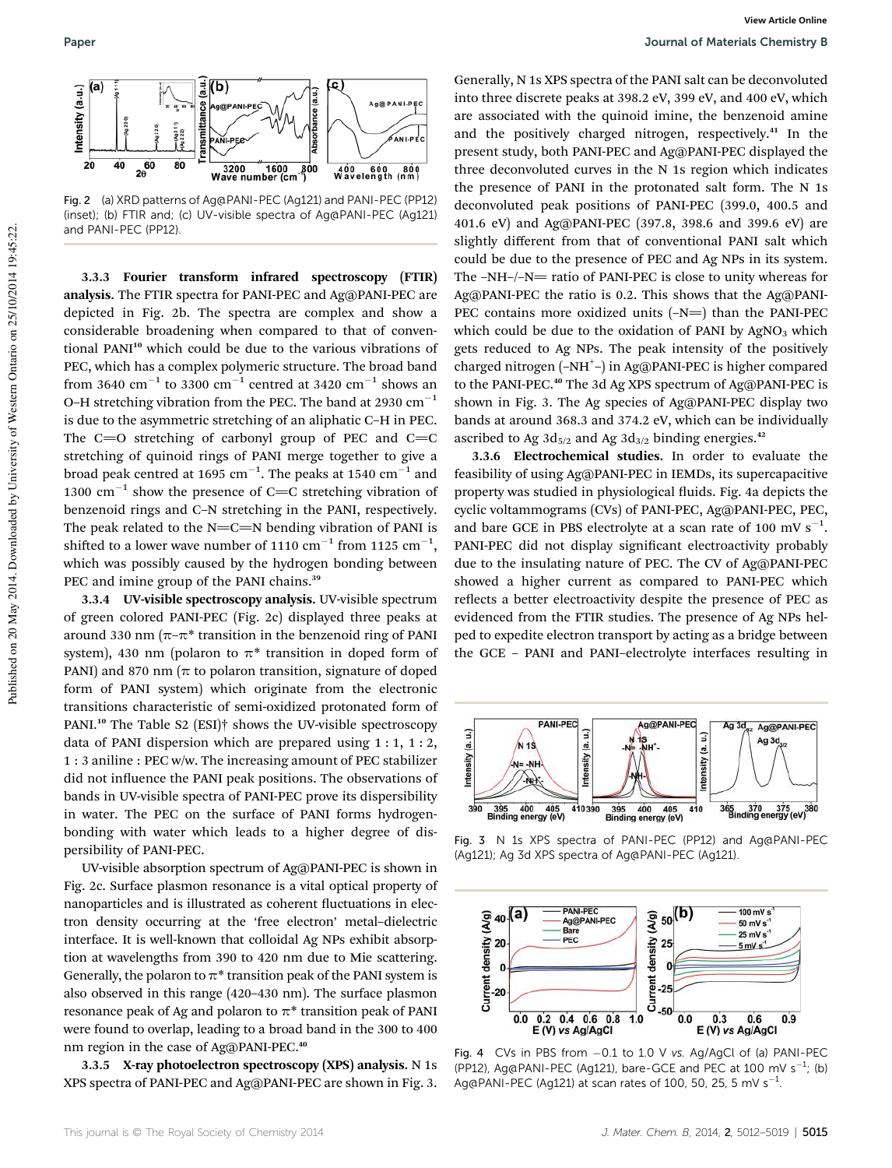

Fig. 2 (a) XRD patterns of Ag@PANI-PEC (Ag121) and PANI-PEC (PP12) (inset); (b) FTIR and; (c) UV-visible spectra of Ag@PANI-PEC (Ag121) and PANI-PEC (PP12)

3.3.3 Fourier transform infrared spectroscopy (FTIR) analysis. The FTIR spectra for PANI-PEC and Ag@PANI-PEC are depicted in Fig. 2b. The spectra are complex and show a considerable broadening when compared to that of conventional PANI<sup>10</sup> which could be due to the various vibrations of PEC, which has a complex polymeric structure. The broad band from 3640 cm<sup>-1</sup> to 3300 cm<sup>-1</sup> centred at 3420 cm<sup>-1</sup> shows an O–H stretching vibration from the PEC. The band at 2930  $\text{cm}^{-1}$ is due to the asymmetric stretching of an aliphatic C–H in PEC. The C $=$ O stretching of carbonyl group of PEC and C $=$ C stretching of quinoid rings of PANI merge together to give a broad peak centred at 1695  $cm^{-1}$ . The peaks at 1540  $cm^{-1}$  and 1300  $\rm cm^{-1}$  show the presence of C=C stretching vibration of benzenoid rings and C–N stretching in the PANI, respectively. The peak related to the  $N=C=N$  bending vibration of PANI is shifted to a lower wave number of 1110  $\text{cm}^{-1}$  from 1125  $\text{cm}^{-1}$ , which was possibly caused by the hydrogen bonding between PEC and imine group of the PANI chains.<sup>39</sup>

3.3.4 UV-visible spectroscopy analysis. UV-visible spectrum of green colored PANI-PEC (Fig. 2c) displayed three peaks at around 330 nm ( $\pi$ - $\pi$ <sup>\*</sup> transition in the benzenoid ring of PANI system), 430 nm (polaron to  $\pi^*$  transition in doped form of PANI) and 870 nm ( $\pi$  to polaron transition, signature of doped form of PANI system) which originate from the electronic transitions characteristic of semi-oxidized protonated form of PANI.<sup>10</sup> The Table S2 (ESI)<sup>†</sup> shows the UV-visible spectroscopy data of PANI dispersion which are prepared using  $1:1, 1:2$ , 1 : 3 aniline : PEC w/w. The increasing amount of PEC stabilizer did not influence the PANI peak positions. The observations of bands in UV-visible spectra of PANI-PEC prove its dispersibility in water. The PEC on the surface of PANI forms hydrogenbonding with water which leads to a higher degree of dispersibility of PANI-PEC.

UV-visible absorption spectrum of Ag@PANI-PEC is shown in Fig. 2c. Surface plasmon resonance is a vital optical property of nanoparticles and is illustrated as coherent fluctuations in electron density occurring at the 'free electron' metal–dielectric interface. It is well-known that colloidal Ag NPs exhibit absorption at wavelengths from 390 to 420 nm due to Mie scattering. Generally, the polaron to  $\pi^*$  transition peak of the PANI system is also observed in this range (420–430 nm). The surface plasmon resonance peak of Ag and polaron to  $\pi^*$  transition peak of PANI were found to overlap, leading to a broad band in the 300 to 400 nm region in the case of Ag@PANI-PEC.<sup>40</sup>

3.3.5 X-ray photoelectron spectroscopy (XPS) analysis. N 1s XPS spectra of PANI-PEC and Ag@PANI-PEC are shown in Fig. 3. Generally, N 1s XPS spectra of the PANI salt can be deconvoluted into three discrete peaks at 398.2 eV, 399 eV, and 400 eV, which are associated with the quinoid imine, the benzenoid amine and the positively charged nitrogen, respectively.<sup>41</sup> In the present study, both PANI-PEC and Ag@PANI-PEC displayed the three deconvoluted curves in the N 1s region which indicates the presence of PANI in the protonated salt form. The N 1s deconvoluted peak positions of PANI-PEC (399.0, 400.5 and 401.6 eV) and Ag@PANI-PEC (397.8, 398.6 and 399.6 eV) are slightly different from that of conventional PANI salt which could be due to the presence of PEC and Ag NPs in its system. The  $-NH$ – $/N$  ratio of PANI-PEC is close to unity whereas for Ag@PANI-PEC the ratio is 0.2. This shows that the Ag@PANI-PEC contains more oxidized units  $(-N=)$  than the PANI-PEC which could be due to the oxidation of PANI by  $AgNO<sub>3</sub>$  which gets reduced to Ag NPs. The peak intensity of the positively charged nitrogen (-NH<sup>+</sup>-) in Ag@PANI-PEC is higher compared to the PANI-PEC.<sup>40</sup> The 3d Ag XPS spectrum of Ag@PANI-PEC is shown in Fig. 3. The Ag species of Ag@PANI-PEC display two bands at around 368.3 and 374.2 eV, which can be individually ascribed to Ag  $3d_{5/2}$  and Ag  $3d_{3/2}$  binding energies.<sup>42</sup>

3.3.6 Electrochemical studies. In order to evaluate the feasibility of using Ag@PANI-PEC in IEMDs, its supercapacitive property was studied in physiological fluids. Fig. 4a depicts the cyclic voltammograms (CVs) of PANI-PEC, Ag@PANI-PEC, PEC, and bare GCE in PBS electrolyte at a scan rate of 100 mV  $s^{-1}$ . PANI-PEC did not display significant electroactivity probably due to the insulating nature of PEC. The CV of Ag@PANI-PEC showed a higher current as compared to PANI-PEC which reflects a better electroactivity despite the presence of PEC as evidenced from the FTIR studies. The presence of Ag NPs helped to expedite electron transport by acting as a bridge between the GCE – PANI and PANI–electrolyte interfaces resulting in



Fig. 3 N 1s XPS spectra of PANI-PEC (PP12) and Ag@PANI-PEC (Ag121); Ag 3d XPS spectra of Ag@PANI-PEC (Ag121).



Fig. 4 CVs in PBS from  $-0.1$  to 1.0 V vs. Ag/AgCl of (a) PANI-PEC  $(PP12)$ , Ag $@PANI-PEC$  (Ag121), bare-GCE and PEC at 100 mV s<sup>-1</sup>; (b) Ag@PANI-PEC (Ag121) at scan rates of 100, 50, 25, 5 mV s<sup>-1</sup>.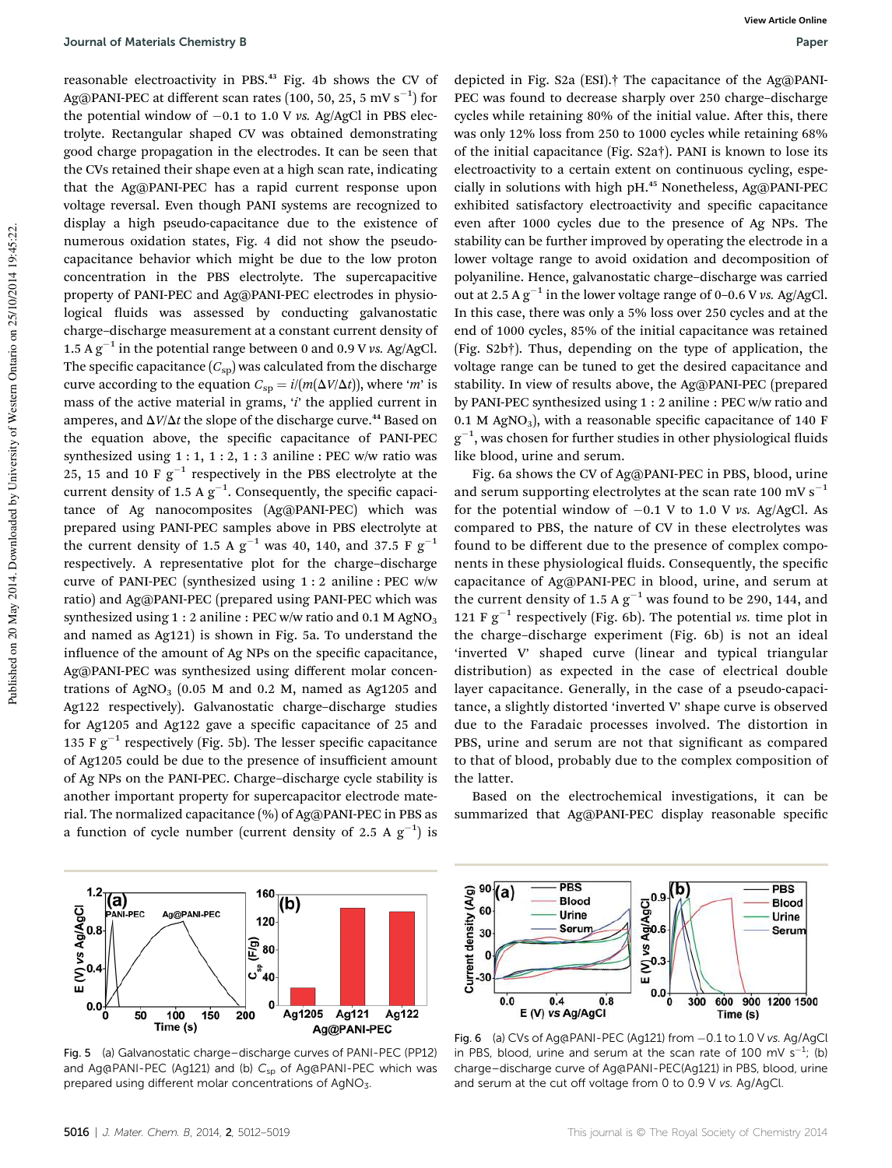reasonable electroactivity in PBS.<sup>43</sup> Fig. 4b shows the CV of Ag@PANI-PEC at different scan rates (100, 50, 25, 5 mV  $\rm s^{-1})$  for the potential window of  $-0.1$  to 1.0 V *vs.* Ag/AgCl in PBS electrolyte. Rectangular shaped CV was obtained demonstrating good charge propagation in the electrodes. It can be seen that the CVs retained their shape even at a high scan rate, indicating that the Ag@PANI-PEC has a rapid current response upon voltage reversal. Even though PANI systems are recognized to display a high pseudo-capacitance due to the existence of numerous oxidation states, Fig. 4 did not show the pseudocapacitance behavior which might be due to the low proton concentration in the PBS electrolyte. The supercapacitive property of PANI-PEC and Ag@PANI-PEC electrodes in physiological fluids was assessed by conducting galvanostatic charge–discharge measurement at a constant current density of 1.5  $\text{A} \text{g}^{-1}$  in the potential range between 0 and 0.9 V *vs.* Ag/AgCl. The specific capacitance  $(C_{\text{sp}})$  was calculated from the discharge curve according to the equation  $C_{\text{sp}} = i/(m(\Delta V/\Delta t))$ , where '*m*' is mass of the active material in grams, '*i*' the applied current in amperes, and  $\Delta V/\Delta t$  the slope of the discharge curve.<sup>44</sup> Based on the equation above, the specific capacitance of PANI-PEC synthesized using  $1:1, 1:2, 1:3$  aniline : PEC w/w ratio was 25, 15 and 10 F  $g^{-1}$  respectively in the PBS electrolyte at the current density of 1.5 A  $g^{-1}$ . Consequently, the specific capacitance of Ag nanocomposites (Ag@PANI-PEC) which was prepared using PANI-PEC samples above in PBS electrolyte at the current density of 1.5 A  $g^{-1}$  was 40, 140, and 37.5 F  $g^{-1}$ respectively. A representative plot for the charge–discharge curve of PANI-PEC (synthesized using 1 : 2 aniline : PEC w/w ratio) and Ag@PANI-PEC (prepared using PANI-PEC which was synthesized using  $1:2$  aniline : PEC w/w ratio and 0.1 M AgNO<sub>3</sub> and named as Ag121) is shown in Fig. 5a. To understand the influence of the amount of Ag NPs on the specific capacitance, Ag@PANI-PEC was synthesized using different molar concentrations of AgNO<sub>3</sub> (0.05 M and 0.2 M, named as Ag1205 and Ag122 respectively). Galvanostatic charge–discharge studies for Ag1205 and Ag122 gave a specific capacitance of 25 and 135 F  $g^{-1}$  respectively (Fig. 5b). The lesser specific capacitance of Ag1205 could be due to the presence of insufficient amount of Ag NPs on the PANI-PEC. Charge–discharge cycle stability is another important property for supercapacitor electrode material. The normalized capacitance (%) of Ag@PANI-PEC in PBS as a function of cycle number (current density of 2.5 A  $g^{-1}$ ) is



Fig. 5 (a) Galvanostatic charge–discharge curves of PANI-PEC (PP12) and Ag@PANI-PEC (Ag121) and (b)  $C_{sp}$  of Ag@PANI-PEC which was prepared using different molar concentrations of AgNO<sub>3</sub>.

depicted in Fig. S2a (ESI).† The capacitance of the Ag@PANI-PEC was found to decrease sharply over 250 charge–discharge cycles while retaining 80% of the initial value. After this, there was only 12% loss from 250 to 1000 cycles while retaining 68% of the initial capacitance (Fig. S2a†). PANI is known to lose its electroactivity to a certain extent on continuous cycling, especially in solutions with high pH.<sup>45</sup> Nonetheless, Ag@PANI-PEC exhibited satisfactory electroactivity and specific capacitance even after 1000 cycles due to the presence of Ag NPs. The stability can be further improved by operating the electrode in a lower voltage range to avoid oxidation and decomposition of polyaniline. Hence, galvanostatic charge–discharge was carried out at 2.5 A  $g^{-1}$  in the lower voltage range of 0–0.6 V *vs.* Ag/AgCl. In this case, there was only a 5% loss over 250 cycles and at the end of 1000 cycles, 85% of the initial capacitance was retained (Fig. S2b†). Thus, depending on the type of application, the voltage range can be tuned to get the desired capacitance and stability. In view of results above, the Ag@PANI-PEC (prepared by PANI-PEC synthesized using 1 : 2 aniline : PEC w/w ratio and 0.1 M AgNO<sub>3</sub>), with a reasonable specific capacitance of 140 F  $g^{-1}$ , was chosen for further studies in other physiological fluids like blood, urine and serum.

Fig. 6a shows the CV of Ag@PANI-PEC in PBS, blood, urine and serum supporting electrolytes at the scan rate 100 mV  $s^{-1}$ for the potential window of  $-0.1$  V to 1.0 V *vs.* Ag/AgCl. As compared to PBS, the nature of CV in these electrolytes was found to be different due to the presence of complex components in these physiological fluids. Consequently, the specific capacitance of Ag@PANI-PEC in blood, urine, and serum at the current density of 1.5 A  $g^{-1}$  was found to be 290, 144, and 121 F  $g^{-1}$  respectively (Fig. 6b). The potential *vs.* time plot in the charge–discharge experiment (Fig. 6b) is not an ideal 'inverted V' shaped curve (linear and typical triangular distribution) as expected in the case of electrical double layer capacitance. Generally, in the case of a pseudo-capacitance, a slightly distorted 'inverted V' shape curve is observed due to the Faradaic processes involved. The distortion in PBS, urine and serum are not that significant as compared to that of blood, probably due to the complex composition of the latter.

Based on the electrochemical investigations, it can be summarized that Ag@PANI-PEC display reasonable specific



Fig. 6 (a) CVs of Ag@PANI-PEC (Ag121) from  $-0.1$  to 1.0 V vs. Ag/AgCl in PBS, blood, urine and serum at the scan rate of 100 mV  $s^{-1}$ ; (b) charge–discharge curve of Ag@PANI-PEC(Ag121) in PBS, blood, urine and serum at the cut off voltage from 0 to 0.9 V vs. Ag/AgCl.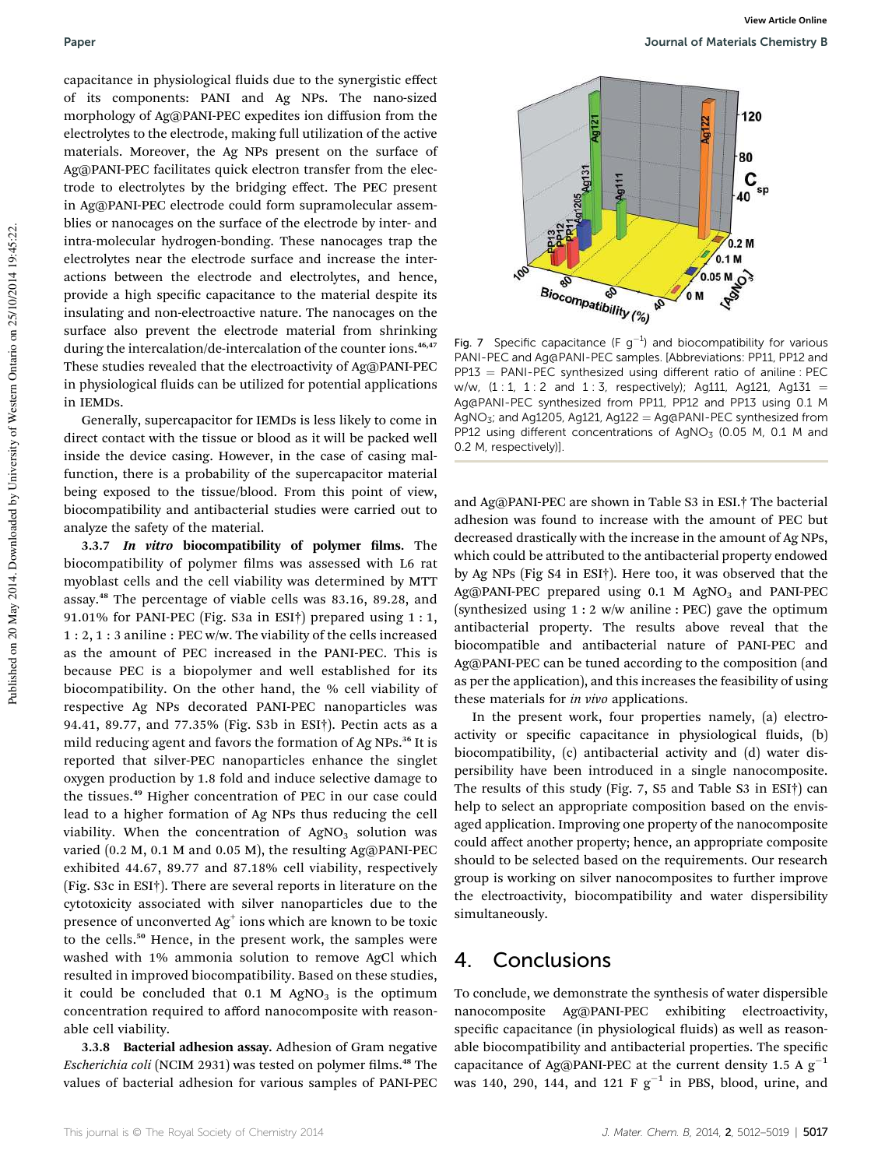capacitance in physiological fluids due to the synergistic effect of its components: PANI and Ag NPs. The nano-sized morphology of Ag@PANI-PEC expedites ion diffusion from the electrolytes to the electrode, making full utilization of the active materials. Moreover, the Ag NPs present on the surface of Ag@PANI-PEC facilitates quick electron transfer from the electrode to electrolytes by the bridging effect. The PEC present in Ag@PANI-PEC electrode could form supramolecular assemblies or nanocages on the surface of the electrode by inter- and intra-molecular hydrogen-bonding. These nanocages trap the electrolytes near the electrode surface and increase the interactions between the electrode and electrolytes, and hence, provide a high specific capacitance to the material despite its insulating and non-electroactive nature. The nanocages on the surface also prevent the electrode material from shrinking during the intercalation/de-intercalation of the counter ions.<sup>46,47</sup> These studies revealed that the electroactivity of Ag@PANI-PEC in physiological fluids can be utilized for potential applications in IEMDs.

Generally, supercapacitor for IEMDs is less likely to come in direct contact with the tissue or blood as it will be packed well inside the device casing. However, in the case of casing malfunction, there is a probability of the supercapacitor material being exposed to the tissue/blood. From this point of view, biocompatibility and antibacterial studies were carried out to analyze the safety of the material.

3.3.7 In vitro biocompatibility of polymer films. The biocompatibility of polymer films was assessed with L6 rat myoblast cells and the cell viability was determined by MTT assay.<sup>48</sup> The percentage of viable cells was 83.16, 89.28, and 91.01% for PANI-PEC (Fig. S3a in ESI†) prepared using 1 : 1, 1 : 2, 1 : 3 aniline : PEC w/w. The viability of the cells increased as the amount of PEC increased in the PANI-PEC. This is because PEC is a biopolymer and well established for its biocompatibility. On the other hand, the % cell viability of respective Ag NPs decorated PANI-PEC nanoparticles was 94.41, 89.77, and 77.35% (Fig. S3b in ESI†). Pectin acts as a mild reducing agent and favors the formation of Ag NPs.<sup>36</sup> It is reported that silver-PEC nanoparticles enhance the singlet oxygen production by 1.8 fold and induce selective damage to the tissues.<sup>49</sup> Higher concentration of PEC in our case could lead to a higher formation of Ag NPs thus reducing the cell viability. When the concentration of  $AgNO<sub>3</sub>$  solution was varied (0.2 M, 0.1 M and 0.05 M), the resulting Ag@PANI-PEC exhibited 44.67, 89.77 and 87.18% cell viability, respectively (Fig. S3c in ESI†). There are several reports in literature on the cytotoxicity associated with silver nanoparticles due to the presence of unconverted  $Ag^+$  ions which are known to be toxic to the cells.<sup>50</sup> Hence, in the present work, the samples were washed with 1% ammonia solution to remove AgCl which resulted in improved biocompatibility. Based on these studies, it could be concluded that  $0.1$  M AgNO<sub>3</sub> is the optimum concentration required to afford nanocomposite with reasonable cell viability.

3.3.8 Bacterial adhesion assay. Adhesion of Gram negative *Escherichia coli* (NCIM 2931) was tested on polymer films.<sup>48</sup> The values of bacterial adhesion for various samples of PANI-PEC



Fig. 7 Specific capacitance (F  $g^{-1}$ ) and biocompatibility for various PANI-PEC and Ag@PANI-PEC samples. [Abbreviations: PP11, PP12 and  $PP13 = PANI-PEC$  synthesized using different ratio of aniline : PEC w/w,  $(1:1, 1:2$  and  $1:3$ , respectively); Ag111, Ag121, Ag131 = Ag@PANI-PEC synthesized from PP11, PP12 and PP13 using 0.1 M AgNO<sub>3</sub>; and Ag1205, Ag121, Ag122 = Ag@PANI-PEC synthesized from PP12 using different concentrations of  $AqNO<sub>3</sub>$  (0.05 M, 0.1 M and 0.2 M, respectively)].

and Ag@PANI-PEC are shown in Table S3 in ESI.† The bacterial adhesion was found to increase with the amount of PEC but decreased drastically with the increase in the amount of Ag NPs, which could be attributed to the antibacterial property endowed by Ag NPs (Fig S4 in ESI†). Here too, it was observed that the  $Ag@PANI-PEC$  prepared using 0.1 M  $AgNO<sub>3</sub>$  and PANI-PEC (synthesized using 1 : 2 w/w aniline : PEC) gave the optimum antibacterial property. The results above reveal that the biocompatible and antibacterial nature of PANI-PEC and Ag@PANI-PEC can be tuned according to the composition (and as per the application), and this increases the feasibility of using these materials for *in vivo* applications.

In the present work, four properties namely, (a) electroactivity or specific capacitance in physiological fluids, (b) biocompatibility, (c) antibacterial activity and (d) water dispersibility have been introduced in a single nanocomposite. The results of this study (Fig. 7, S5 and Table S3 in ESI†) can help to select an appropriate composition based on the envisaged application. Improving one property of the nanocomposite could affect another property; hence, an appropriate composite should to be selected based on the requirements. Our research group is working on silver nanocomposites to further improve the electroactivity, biocompatibility and water dispersibility simultaneously.

### 4. Conclusions

To conclude, we demonstrate the synthesis of water dispersible nanocomposite Ag@PANI-PEC exhibiting electroactivity, specific capacitance (in physiological fluids) as well as reasonable biocompatibility and antibacterial properties. The specific capacitance of Ag@PANI-PEC at the current density 1.5 A  $g^{-1}$ was 140, 290, 144, and 121 F  $g^{-1}$  in PBS, blood, urine, and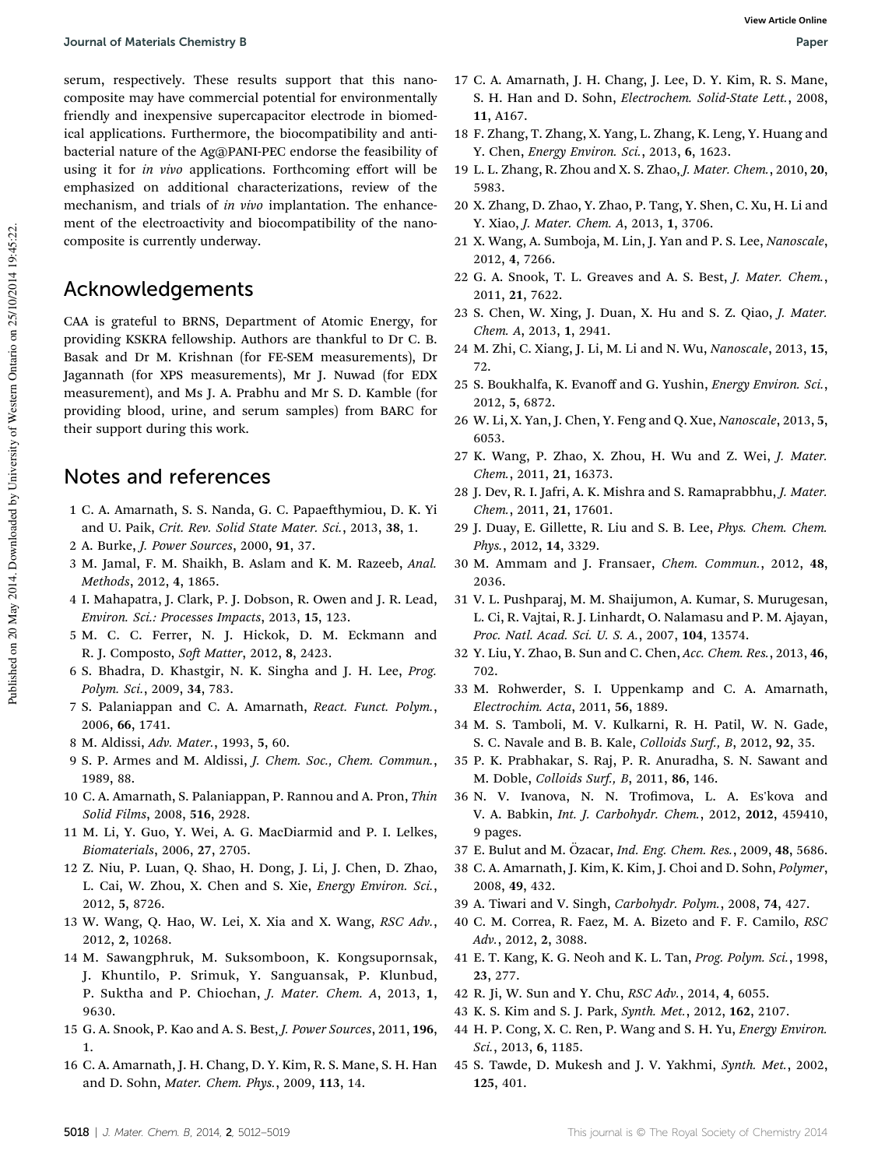serum, respectively. These results support that this nanocomposite may have commercial potential for environmentally friendly and inexpensive supercapacitor electrode in biomedical applications. Furthermore, the biocompatibility and antibacterial nature of the Ag@PANI-PEC endorse the feasibility of using it for *in vivo* applications. Forthcoming effort will be emphasized on additional characterizations, review of the mechanism, and trials of *in vivo* implantation. The enhancement of the electroactivity and biocompatibility of the nanocomposite is currently underway.

### Acknowledgements

CAA is grateful to BRNS, Department of Atomic Energy, for providing KSKRA fellowship. Authors are thankful to Dr C. B. Basak and Dr M. Krishnan (for FE-SEM measurements), Dr Jagannath (for XPS measurements), Mr J. Nuwad (for EDX measurement), and Ms J. A. Prabhu and Mr S. D. Kamble (for providing blood, urine, and serum samples) from BARC for their support during this work.

### Notes and references

- 1 C. A. Amarnath, S. S. Nanda, G. C. Papaefthymiou, D. K. Yi and U. Paik, *Crit. Rev. Solid State Mater. Sci.*, 2013, 38, 1.
- 2 A. Burke, *J. Power Sources*, 2000, 91, 37.
- 3 M. Jamal, F. M. Shaikh, B. Aslam and K. M. Razeeb, *Anal. Methods*, 2012, 4, 1865.
- 4 I. Mahapatra, J. Clark, P. J. Dobson, R. Owen and J. R. Lead, *Environ. Sci.: Processes Impacts*, 2013, 15, 123.
- 5 M. C. C. Ferrer, N. J. Hickok, D. M. Eckmann and R. J. Composto, *Soft Matter*, 2012, 8, 2423.
- 6 S. Bhadra, D. Khastgir, N. K. Singha and J. H. Lee, *Prog. Polym. Sci.*, 2009, 34, 783.
- 7 S. Palaniappan and C. A. Amarnath, *React. Funct. Polym.*, 2006, 66, 1741.
- 8 M. Aldissi, *Adv. Mater.*, 1993, 5, 60.
- 9 S. P. Armes and M. Aldissi, *J. Chem. Soc., Chem. Commun.*, 1989, 88.
- 10 C. A. Amarnath, S. Palaniappan, P. Rannou and A. Pron, *Thin Solid Films*, 2008, 516, 2928.
- 11 M. Li, Y. Guo, Y. Wei, A. G. MacDiarmid and P. I. Lelkes, *Biomaterials*, 2006, 27, 2705.
- 12 Z. Niu, P. Luan, Q. Shao, H. Dong, J. Li, J. Chen, D. Zhao, L. Cai, W. Zhou, X. Chen and S. Xie, *Energy Environ. Sci.*, 2012, 5, 8726.
- 13 W. Wang, Q. Hao, W. Lei, X. Xia and X. Wang, *RSC Adv.*, 2012, 2, 10268.
- 14 M. Sawangphruk, M. Suksomboon, K. Kongsupornsak, J. Khuntilo, P. Srimuk, Y. Sanguansak, P. Klunbud, P. Suktha and P. Chiochan, *J. Mater. Chem. A*, 2013, 1, 9630.
- 15 G. A. Snook, P. Kao and A. S. Best, *J. Power Sources*, 2011, 196, 1.
- 16 C. A. Amarnath, J. H. Chang, D. Y. Kim, R. S. Mane, S. H. Han and D. Sohn, *Mater. Chem. Phys.*, 2009, 113, 14.
- 17 C. A. Amarnath, J. H. Chang, J. Lee, D. Y. Kim, R. S. Mane, S. H. Han and D. Sohn, *Electrochem. Solid-State Lett.*, 2008, 11, A167.
- 18 F. Zhang, T. Zhang, X. Yang, L. Zhang, K. Leng, Y. Huang and Y. Chen, *Energy Environ. Sci.*, 2013, 6, 1623.
- 19 L. L. Zhang, R. Zhou and X. S. Zhao, *J. Mater. Chem.*, 2010, 20, 5983.
- 20 X. Zhang, D. Zhao, Y. Zhao, P. Tang, Y. Shen, C. Xu, H. Li and Y. Xiao, *J. Mater. Chem. A*, 2013, 1, 3706.
- 21 X. Wang, A. Sumboja, M. Lin, J. Yan and P. S. Lee, *Nanoscale*, 2012, 4, 7266.
- 22 G. A. Snook, T. L. Greaves and A. S. Best, *J. Mater. Chem.*, 2011, 21, 7622.
- 23 S. Chen, W. Xing, J. Duan, X. Hu and S. Z. Qiao, *J. Mater. Chem. A*, 2013, 1, 2941.
- 24 M. Zhi, C. Xiang, J. Li, M. Li and N. Wu, *Nanoscale*, 2013, 15, 72.
- 25 S. Boukhalfa, K. Evanoff and G. Yushin, *Energy Environ. Sci.*, 2012, 5, 6872.
- 26 W. Li, X. Yan, J. Chen, Y. Feng and Q. Xue, *Nanoscale*, 2013, 5, 6053.
- 27 K. Wang, P. Zhao, X. Zhou, H. Wu and Z. Wei, *J. Mater. Chem.*, 2011, 21, 16373.
- 28 J. Dev, R. I. Jafri, A. K. Mishra and S. Ramaprabbhu, *J. Mater. Chem.*, 2011, 21, 17601.
- 29 J. Duay, E. Gillette, R. Liu and S. B. Lee, *Phys. Chem. Chem. Phys.*, 2012, 14, 3329.
- 30 M. Ammam and J. Fransaer, *Chem. Commun.*, 2012, 48, 2036.
- 31 V. L. Pushparaj, M. M. Shaijumon, A. Kumar, S. Murugesan, L. Ci, R. Vajtai, R. J. Linhardt, O. Nalamasu and P. M. Ajayan, *Proc. Natl. Acad. Sci. U. S. A.*, 2007, 104, 13574.
- 32 Y. Liu, Y. Zhao, B. Sun and C. Chen, *Acc. Chem. Res.*, 2013, 46, 702.
- 33 M. Rohwerder, S. I. Uppenkamp and C. A. Amarnath, *Electrochim. Acta*, 2011, 56, 1889.
- 34 M. S. Tamboli, M. V. Kulkarni, R. H. Patil, W. N. Gade, S. C. Navale and B. B. Kale, *Colloids Surf., B*, 2012, 92, 35.
- 35 P. K. Prabhakar, S. Raj, P. R. Anuradha, S. N. Sawant and M. Doble, *Colloids Surf., B*, 2011, 86, 146.
- 36 N. V. Ivanova, N. N. Trofimova, L. A. Es'kova and V. A. Babkin, *Int. J. Carbohydr. Chem.*, 2012, 2012, 459410, 9 pages.
- 37 E. Bulut and M. Özacar, *Ind. Eng. Chem. Res.*, 2009, 48, 5686.
- 38 C. A. Amarnath, J. Kim, K. Kim, J. Choi and D. Sohn, *Polymer*, 2008, 49, 432.
- 39 A. Tiwari and V. Singh, *Carbohydr. Polym.*, 2008, 74, 427.
- 40 C. M. Correa, R. Faez, M. A. Bizeto and F. F. Camilo, *RSC Adv.*, 2012, 2, 3088.
- 41 E. T. Kang, K. G. Neoh and K. L. Tan, *Prog. Polym. Sci.*, 1998, 23, 277.
- 42 R. Ji, W. Sun and Y. Chu, *RSC Adv.*, 2014, 4, 6055.
- 43 K. S. Kim and S. J. Park, *Synth. Met.*, 2012, 162, 2107.
- 44 H. P. Cong, X. C. Ren, P. Wang and S. H. Yu, *Energy Environ. Sci.*, 2013, 6, 1185.
- 45 S. Tawde, D. Mukesh and J. V. Yakhmi, *Synth. Met.*, 2002, 125, 401.